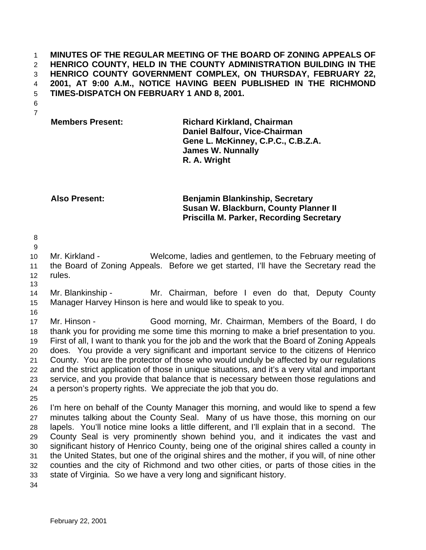**MINUTES OF THE REGULAR MEETING OF THE BOARD OF ZONING APPEALS OF HENRICO COUNTY, HELD IN THE COUNTY ADMINISTRATION BUILDING IN THE HENRICO COUNTY GOVERNMENT COMPLEX, ON THURSDAY, FEBRUARY 22, 2001, AT 9:00 A.M., NOTICE HAVING BEEN PUBLISHED IN THE RICHMOND TIMES-DISPATCH ON FEBRUARY 1 AND 8, 2001.**

 

**Members Present: Richard Kirkland, Chairman Daniel Balfour, Vice-Chairman Gene L. McKinney, C.P.C., C.B.Z.A. James W. Nunnally R. A. Wright**

**Also Present: Benjamin Blankinship, Secretary Susan W. Blackburn, County Planner II Priscilla M. Parker, Recording Secretary**

 

 Mr. Kirkland - Welcome, ladies and gentlemen, to the February meeting of the Board of Zoning Appeals. Before we get started, I'll have the Secretary read the rules.

 Mr. Blankinship - Mr. Chairman, before I even do that, Deputy County Manager Harvey Hinson is here and would like to speak to you.

 Mr. Hinson - Good morning, Mr. Chairman, Members of the Board, I do thank you for providing me some time this morning to make a brief presentation to you. First of all, I want to thank you for the job and the work that the Board of Zoning Appeals does. You provide a very significant and important service to the citizens of Henrico County. You are the protector of those who would unduly be affected by our regulations and the strict application of those in unique situations, and it's a very vital and important service, and you provide that balance that is necessary between those regulations and a person's property rights. We appreciate the job that you do.

 I'm here on behalf of the County Manager this morning, and would like to spend a few minutes talking about the County Seal. Many of us have those, this morning on our lapels. You'll notice mine looks a little different, and I'll explain that in a second. The County Seal is very prominently shown behind you, and it indicates the vast and significant history of Henrico County, being one of the original shires called a county in the United States, but one of the original shires and the mother, if you will, of nine other counties and the city of Richmond and two other cities, or parts of those cities in the state of Virginia. So we have a very long and significant history.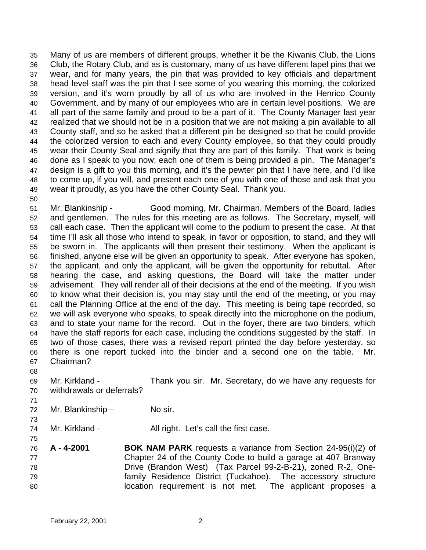Many of us are members of different groups, whether it be the Kiwanis Club, the Lions Club, the Rotary Club, and as is customary, many of us have different lapel pins that we wear, and for many years, the pin that was provided to key officials and department head level staff was the pin that I see some of you wearing this morning, the colorized version, and it's worn proudly by all of us who are involved in the Henrico County Government, and by many of our employees who are in certain level positions. We are all part of the same family and proud to be a part of it. The County Manager last year realized that we should not be in a position that we are not making a pin available to all County staff, and so he asked that a different pin be designed so that he could provide the colorized version to each and every County employee, so that they could proudly wear their County Seal and signify that they are part of this family. That work is being done as I speak to you now; each one of them is being provided a pin. The Manager's design is a gift to you this morning, and it's the pewter pin that I have here, and I'd like to come up, if you will, and present each one of you with one of those and ask that you wear it proudly, as you have the other County Seal. Thank you.

 Mr. Blankinship - Good morning, Mr. Chairman, Members of the Board, ladies and gentlemen. The rules for this meeting are as follows. The Secretary, myself, will call each case. Then the applicant will come to the podium to present the case. At that time I'll ask all those who intend to speak, in favor or opposition, to stand, and they will be sworn in. The applicants will then present their testimony. When the applicant is finished, anyone else will be given an opportunity to speak. After everyone has spoken, the applicant, and only the applicant, will be given the opportunity for rebuttal. After hearing the case, and asking questions, the Board will take the matter under advisement. They will render all of their decisions at the end of the meeting. If you wish to know what their decision is, you may stay until the end of the meeting, or you may call the Planning Office at the end of the day. This meeting is being tape recorded, so we will ask everyone who speaks, to speak directly into the microphone on the podium, and to state your name for the record. Out in the foyer, there are two binders, which have the staff reports for each case, including the conditions suggested by the staff. In two of those cases, there was a revised report printed the day before yesterday, so there is one report tucked into the binder and a second one on the table. Mr. Chairman?

- 
- Mr. Kirkland Thank you sir. Mr. Secretary, do we have any requests for withdrawals or deferrals?
- 
- Mr. Blankinship No sir.
- 

- 74 Mr. Kirkland All right. Let's call the first case.
- **A 4-2001 BOK NAM PARK** requests a variance from Section 24-95(i)(2) of Chapter 24 of the County Code to build a garage at 407 Branway Drive (Brandon West) (Tax Parcel 99-2-B-21), zoned R-2, One- family Residence District (Tuckahoe). The accessory structure location requirement is not met. The applicant proposes a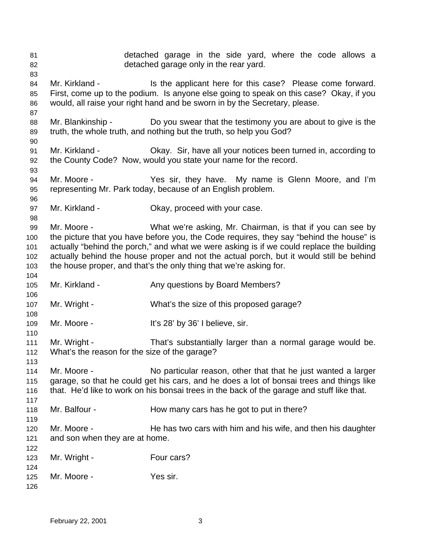detached garage in the side yard, where the code allows a detached garage only in the rear yard. 84 Mr. Kirkland - Is the applicant here for this case? Please come forward. First, come up to the podium. Is anyone else going to speak on this case? Okay, if you would, all raise your right hand and be sworn in by the Secretary, please. 88 Mr. Blankinship - Do you swear that the testimony you are about to give is the truth, the whole truth, and nothing but the truth, so help you God? Mr. Kirkland - Okay. Sir, have all your notices been turned in, according to the County Code? Now, would you state your name for the record. Mr. Moore - Yes sir, they have. My name is Glenn Moore, and I'm representing Mr. Park today, because of an English problem. Mr. Kirkland - Okay, proceed with your case. Mr. Moore - What we're asking, Mr. Chairman, is that if you can see by the picture that you have before you, the Code requires, they say "behind the house" is actually "behind the porch," and what we were asking is if we could replace the building actually behind the house proper and not the actual porch, but it would still be behind the house proper, and that's the only thing that we're asking for. 105 Mr. Kirkland - Any questions by Board Members? Mr. Wright - What's the size of this proposed garage? 109 Mr. Moore - It's 28' by 36' I believe, sir. 111 Mr. Wright - That's substantially larger than a normal garage would be. What's the reason for the size of the garage? Mr. Moore - No particular reason, other that that he just wanted a larger garage, so that he could get his cars, and he does a lot of bonsai trees and things like that. He'd like to work on his bonsai trees in the back of the garage and stuff like that. 118 Mr. Balfour - How many cars has he got to put in there? 120 Mr. Moore - He has two cars with him and his wife, and then his daughter and son when they are at home. 123 Mr. Wright - Four cars? Mr. Moore - Yes sir.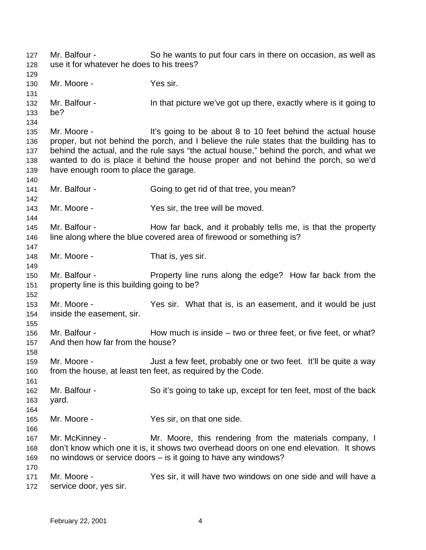Mr. Balfour - So he wants to put four cars in there on occasion, as well as use it for whatever he does to his trees? Mr. Moore - Yes sir. 132 Mr. Balfour - In that picture we've got up there, exactly where is it going to be? Mr. Moore - It's going to be about 8 to 10 feet behind the actual house proper, but not behind the porch, and I believe the rule states that the building has to behind the actual, and the rule says "the actual house," behind the porch, and what we wanted to do is place it behind the house proper and not behind the porch, so we'd have enough room to place the garage. Mr. Balfour - Going to get rid of that tree, you mean? Mr. Moore - Yes sir, the tree will be moved. 145 Mr. Balfour - How far back, and it probably tells me, is that the property 146 line along where the blue covered area of firewood or something is? 148 Mr. Moore - That is, yes sir. Mr. Balfour - Property line runs along the edge? How far back from the property line is this building going to be? Mr. Moore - Yes sir. What that is, is an easement, and it would be just inside the easement, sir. 156 Mr. Balfour - How much is inside – two or three feet, or five feet, or what? And then how far from the house? Mr. Moore - Just a few feet, probably one or two feet. It'll be quite a way from the house, at least ten feet, as required by the Code. Mr. Balfour - So it's going to take up, except for ten feet, most of the back yard. Mr. Moore - Yes sir, on that one side. 167 Mr. McKinney - Mr. Moore, this rendering from the materials company, I don't know which one it is, it shows two overhead doors on one end elevation. It shows no windows or service doors – is it going to have any windows? Mr. Moore - Yes sir, it will have two windows on one side and will have a service door, yes sir.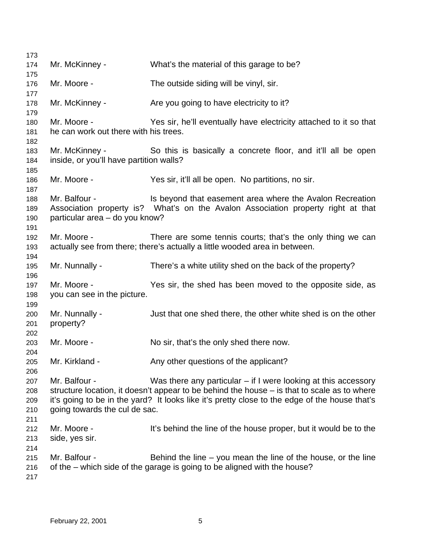Mr. McKinney - What's the material of this garage to be? Mr. Moore - The outside siding will be vinyl, sir. 178 Mr. McKinney - Are you going to have electricity to it? Mr. Moore - Yes sir, he'll eventually have electricity attached to it so that he can work out there with his trees. Mr. McKinney - So this is basically a concrete floor, and it'll all be open inside, or you'll have partition walls? Mr. Moore - Yes sir, it'll all be open. No partitions, no sir. 188 Mr. Balfour - Is beyond that easement area where the Avalon Recreation Association property is? What's on the Avalon Association property right at that particular area – do you know? Mr. Moore - There are some tennis courts; that's the only thing we can actually see from there; there's actually a little wooded area in between. Mr. Nunnally - There's a white utility shed on the back of the property? Mr. Moore - Yes sir, the shed has been moved to the opposite side, as you can see in the picture. Mr. Nunnally - Just that one shed there, the other white shed is on the other property? Mr. Moore - No sir, that's the only shed there now. 205 Mr. Kirkland - Any other questions of the applicant? Mr. Balfour - Was there any particular – if I were looking at this accessory structure location, it doesn't appear to be behind the house – is that to scale as to where it's going to be in the yard? It looks like it's pretty close to the edge of the house that's going towards the cul de sac. Mr. Moore - It's behind the line of the house proper, but it would be to the side, yes sir. Mr. Balfour - Behind the line – you mean the line of the house, or the line of the – which side of the garage is going to be aligned with the house?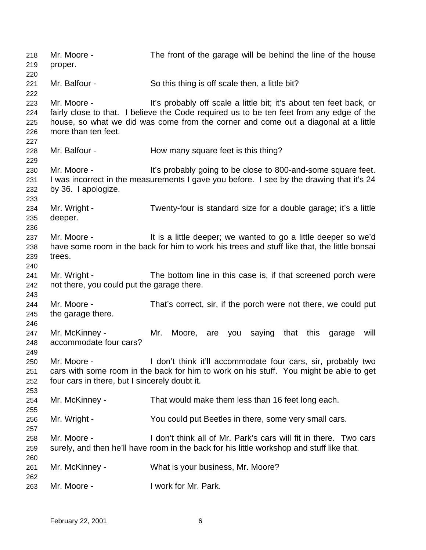Mr. Moore - The front of the garage will be behind the line of the house proper. Mr. Balfour - So this thing is off scale then, a little bit? Mr. Moore - It's probably off scale a little bit; it's about ten feet back, or fairly close to that. I believe the Code required us to be ten feet from any edge of the house, so what we did was come from the corner and come out a diagonal at a little more than ten feet. 228 Mr. Balfour - How many square feet is this thing? Mr. Moore - It's probably going to be close to 800-and-some square feet. I was incorrect in the measurements I gave you before. I see by the drawing that it's 24 by 36. I apologize. Mr. Wright - Twenty-four is standard size for a double garage; it's a little deeper. Mr. Moore - It is a little deeper; we wanted to go a little deeper so we'd have some room in the back for him to work his trees and stuff like that, the little bonsai trees. Mr. Wright - The bottom line in this case is, if that screened porch were not there, you could put the garage there. 244 Mr. Moore - That's correct, sir, if the porch were not there, we could put the garage there. Mr. McKinney - Mr. Moore, are you saying that this garage will accommodate four cars? Mr. Moore - I don't think it'll accommodate four cars, sir, probably two cars with some room in the back for him to work on his stuff. You might be able to get four cars in there, but I sincerely doubt it. Mr. McKinney - That would make them less than 16 feet long each. Mr. Wright - You could put Beetles in there, some very small cars. Mr. Moore - I don't think all of Mr. Park's cars will fit in there. Two cars surely, and then he'll have room in the back for his little workshop and stuff like that. Mr. McKinney - What is your business, Mr. Moore? Mr. Moore - I work for Mr. Park.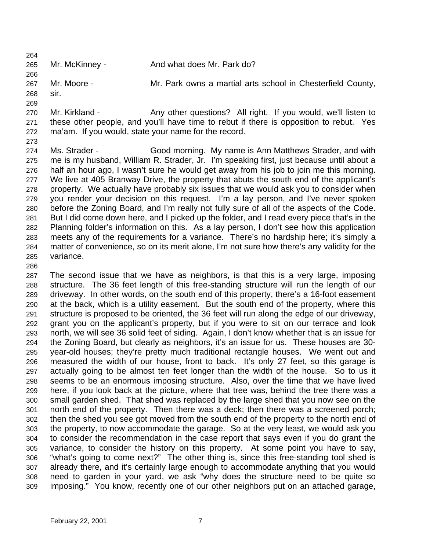265 Mr. McKinney - And what does Mr. Park do?

Mr. Moore - Mr. Park owns a martial arts school in Chesterfield County,

- sir.
- 
- 270 Mr. Kirkland Any other questions? All right. If you would, we'll listen to these other people, and you'll have time to rebut if there is opposition to rebut. Yes ma'am. If you would, state your name for the record.
- 

 Ms. Strader - Good morning. My name is Ann Matthews Strader, and with me is my husband, William R. Strader, Jr. I'm speaking first, just because until about a half an hour ago, I wasn't sure he would get away from his job to join me this morning. We live at 405 Branway Drive, the property that abuts the south end of the applicant's property. We actually have probably six issues that we would ask you to consider when you render your decision on this request. I'm a lay person, and I've never spoken before the Zoning Board, and I'm really not fully sure of all of the aspects of the Code. But I did come down here, and I picked up the folder, and I read every piece that's in the Planning folder's information on this. As a lay person, I don't see how this application meets any of the requirements for a variance. There's no hardship here; it's simply a matter of convenience, so on its merit alone, I'm not sure how there's any validity for the variance.

 The second issue that we have as neighbors, is that this is a very large, imposing structure. The 36 feet length of this free-standing structure will run the length of our driveway. In other words, on the south end of this property, there's a 16-foot easement at the back, which is a utility easement. But the south end of the property, where this structure is proposed to be oriented, the 36 feet will run along the edge of our driveway, grant you on the applicant's property, but if you were to sit on our terrace and look north, we will see 36 solid feet of siding. Again, I don't know whether that is an issue for the Zoning Board, but clearly as neighbors, it's an issue for us. These houses are 30- year-old houses; they're pretty much traditional rectangle houses. We went out and measured the width of our house, front to back. It's only 27 feet, so this garage is actually going to be almost ten feet longer than the width of the house. So to us it seems to be an enormous imposing structure. Also, over the time that we have lived here, if you look back at the picture, where that tree was, behind the tree there was a small garden shed. That shed was replaced by the large shed that you now see on the north end of the property. Then there was a deck; then there was a screened porch; then the shed you see got moved from the south end of the property to the north end of the property, to now accommodate the garage. So at the very least, we would ask you to consider the recommendation in the case report that says even if you do grant the variance, to consider the history on this property. At some point you have to say, "what's going to come next?" The other thing is, since this free-standing tool shed is already there, and it's certainly large enough to accommodate anything that you would need to garden in your yard, we ask "why does the structure need to be quite so imposing." You know, recently one of our other neighbors put on an attached garage,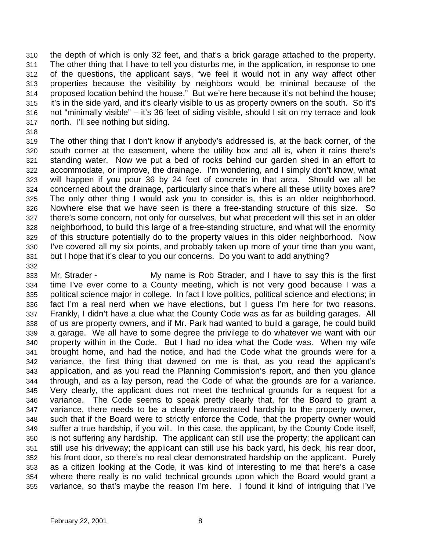the depth of which is only 32 feet, and that's a brick garage attached to the property. The other thing that I have to tell you disturbs me, in the application, in response to one of the questions, the applicant says, "we feel it would not in any way affect other properties because the visibility by neighbors would be minimal because of the proposed location behind the house." But we're here because it's not behind the house; it's in the side yard, and it's clearly visible to us as property owners on the south. So it's not "minimally visible" – it's 36 feet of siding visible, should I sit on my terrace and look north. I'll see nothing but siding.

 The other thing that I don't know if anybody's addressed is, at the back corner, of the south corner at the easement, where the utility box and all is, when it rains there's standing water. Now we put a bed of rocks behind our garden shed in an effort to accommodate, or improve, the drainage. I'm wondering, and I simply don't know, what will happen if you pour 36 by 24 feet of concrete in that area. Should we all be concerned about the drainage, particularly since that's where all these utility boxes are? The only other thing I would ask you to consider is, this is an older neighborhood. Nowhere else that we have seen is there a free-standing structure of this size. So there's some concern, not only for ourselves, but what precedent will this set in an older neighborhood, to build this large of a free-standing structure, and what will the enormity of this structure potentially do to the property values in this older neighborhood. Now I've covered all my six points, and probably taken up more of your time than you want, but I hope that it's clear to you our concerns. Do you want to add anything?

 Mr. Strader - My name is Rob Strader, and I have to say this is the first time I've ever come to a County meeting, which is not very good because I was a political science major in college. In fact I love politics, political science and elections; in fact I'm a real nerd when we have elections, but I guess I'm here for two reasons. Frankly, I didn't have a clue what the County Code was as far as building garages. All of us are property owners, and if Mr. Park had wanted to build a garage, he could build a garage. We all have to some degree the privilege to do whatever we want with our property within in the Code. But I had no idea what the Code was. When my wife brought home, and had the notice, and had the Code what the grounds were for a variance, the first thing that dawned on me is that, as you read the applicant's application, and as you read the Planning Commission's report, and then you glance through, and as a lay person, read the Code of what the grounds are for a variance. Very clearly, the applicant does not meet the technical grounds for a request for a variance. The Code seems to speak pretty clearly that, for the Board to grant a variance, there needs to be a clearly demonstrated hardship to the property owner, such that if the Board were to strictly enforce the Code, that the property owner would suffer a true hardship, if you will. In this case, the applicant, by the County Code itself, is not suffering any hardship. The applicant can still use the property; the applicant can still use his driveway; the applicant can still use his back yard, his deck, his rear door, his front door, so there's no real clear demonstrated hardship on the applicant. Purely as a citizen looking at the Code, it was kind of interesting to me that here's a case where there really is no valid technical grounds upon which the Board would grant a variance, so that's maybe the reason I'm here. I found it kind of intriguing that I've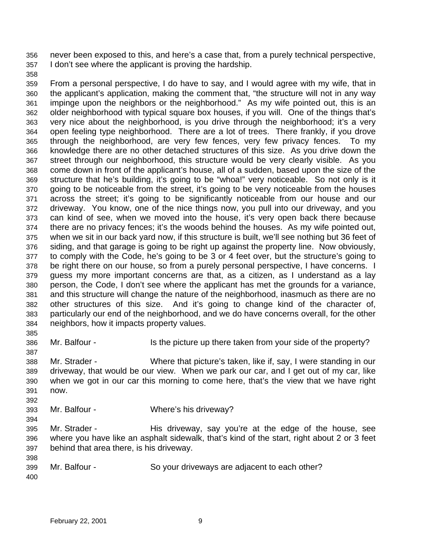never been exposed to this, and here's a case that, from a purely technical perspective, I don't see where the applicant is proving the hardship.

 From a personal perspective, I do have to say, and I would agree with my wife, that in the applicant's application, making the comment that, "the structure will not in any way impinge upon the neighbors or the neighborhood." As my wife pointed out, this is an older neighborhood with typical square box houses, if you will. One of the things that's very nice about the neighborhood, is you drive through the neighborhood; it's a very open feeling type neighborhood. There are a lot of trees. There frankly, if you drove through the neighborhood, are very few fences, very few privacy fences. To my knowledge there are no other detached structures of this size. As you drive down the street through our neighborhood, this structure would be very clearly visible. As you come down in front of the applicant's house, all of a sudden, based upon the size of the structure that he's building, it's going to be "whoa!" very noticeable. So not only is it going to be noticeable from the street, it's going to be very noticeable from the houses across the street; it's going to be significantly noticeable from our house and our driveway. You know, one of the nice things now, you pull into our driveway, and you can kind of see, when we moved into the house, it's very open back there because there are no privacy fences; it's the woods behind the houses. As my wife pointed out, when we sit in our back yard now, if this structure is built, we'll see nothing but 36 feet of siding, and that garage is going to be right up against the property line. Now obviously, to comply with the Code, he's going to be 3 or 4 feet over, but the structure's going to be right there on our house, so from a purely personal perspective, I have concerns. I guess my more important concerns are that, as a citizen, as I understand as a lay person, the Code, I don't see where the applicant has met the grounds for a variance, and this structure will change the nature of the neighborhood, inasmuch as there are no other structures of this size. And it's going to change kind of the character of, particularly our end of the neighborhood, and we do have concerns overall, for the other neighbors, how it impacts property values.

Mr. Balfour - Is the picture up there taken from your side of the property?

 Mr. Strader - Where that picture's taken, like if, say, I were standing in our driveway, that would be our view. When we park our car, and I get out of my car, like when we got in our car this morning to come here, that's the view that we have right now.

- Mr. Balfour Where's his driveway?
- 

- 
- Mr. Strader His driveway, say you're at the edge of the house, see where you have like an asphalt sidewalk, that's kind of the start, right about 2 or 3 feet behind that area there, is his driveway.

 Mr. Balfour - So your driveways are adjacent to each other?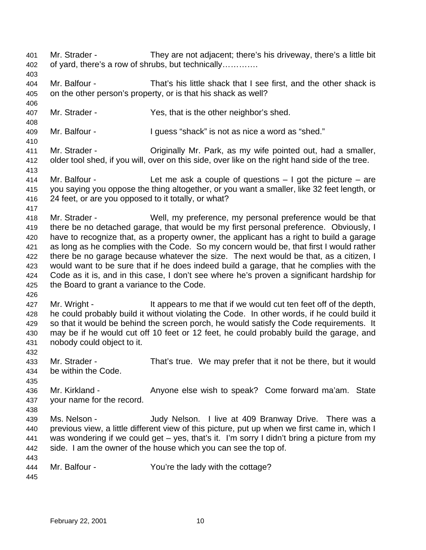Mr. Strader - They are not adjacent; there's his driveway, there's a little bit of yard, there's a row of shrubs, but technically…………. Mr. Balfour - That's his little shack that I see first, and the other shack is on the other person's property, or is that his shack as well? Mr. Strader - Yes, that is the other neighbor's shed. Mr. Balfour - I guess "shack" is not as nice a word as "shed." Mr. Strader - Originally Mr. Park, as my wife pointed out, had a smaller, older tool shed, if you will, over on this side, over like on the right hand side of the tree. Mr. Balfour - Let me ask a couple of questions – I got the picture – are you saying you oppose the thing altogether, or you want a smaller, like 32 feet length, or 24 feet, or are you opposed to it totally, or what? Mr. Strader - Well, my preference, my personal preference would be that there be no detached garage, that would be my first personal preference. Obviously, I have to recognize that, as a property owner, the applicant has a right to build a garage as long as he complies with the Code. So my concern would be, that first I would rather there be no garage because whatever the size. The next would be that, as a citizen, I would want to be sure that if he does indeed build a garage, that he complies with the Code as it is, and in this case, I don't see where he's proven a significant hardship for the Board to grant a variance to the Code. 427 Mr. Wright - It appears to me that if we would cut ten feet off of the depth, he could probably build it without violating the Code. In other words, if he could build it so that it would be behind the screen porch, he would satisfy the Code requirements. It may be if he would cut off 10 feet or 12 feet, he could probably build the garage, and nobody could object to it. Mr. Strader - That's true. We may prefer that it not be there, but it would be within the Code. 436 Mr. Kirkland - Anyone else wish to speak? Come forward ma'am. State your name for the record. Ms. Nelson - Judy Nelson. I live at 409 Branway Drive. There was a previous view, a little different view of this picture, put up when we first came in, which I was wondering if we could get – yes, that's it. I'm sorry I didn't bring a picture from my side. I am the owner of the house which you can see the top of. Mr. Balfour - You're the lady with the cottage?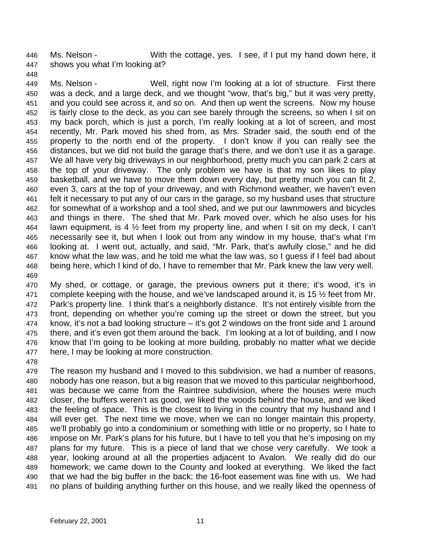Ms. Nelson - With the cottage, yes. I see, if I put my hand down here, it shows you what I'm looking at?

 Ms. Nelson - Well, right now I'm looking at a lot of structure. First there was a deck, and a large deck, and we thought "wow, that's big," but it was very pretty, and you could see across it, and so on. And then up went the screens. Now my house is fairly close to the deck, as you can see barely through the screens, so when I sit on my back porch, which is just a porch, I'm really looking at a lot of screen, and most recently, Mr. Park moved his shed from, as Mrs. Strader said, the south end of the property to the north end of the property. I don't know if you can really see the distances, but we did not build the garage that's there, and we don't use it as a garage. We all have very big driveways in our neighborhood, pretty much you can park 2 cars at the top of your driveway. The only problem we have is that my son likes to play basketball, and we have to move them down every day, but pretty much you can fit 2, even 3, cars at the top of your driveway, and with Richmond weather, we haven't even felt it necessary to put any of our cars in the garage, so my husband uses that structure for somewhat of a workshop and a tool shed, and we put our lawnmowers and bicycles and things in there. The shed that Mr. Park moved over, which he also uses for his lawn equipment, is 4 ½ feet from my property line, and when I sit on my deck, I can't necessarily see it, but when I look out from any window in my house, that's what I'm looking at. I went out, actually, and said, "Mr. Park, that's awfully close," and he did know what the law was, and he told me what the law was, so I guess if I feel bad about being here, which I kind of do, I have to remember that Mr. Park knew the law very well. 

 My shed, or cottage, or garage, the previous owners put it there; it's wood, it's in 471 complete keeping with the house, and we've landscaped around it, is 15  $\frac{1}{2}$  feet from Mr. Park's property line. I think that's a neighborly distance. It's not entirely visible from the front, depending on whether you're coming up the street or down the street, but you know, it's not a bad looking structure – it's got 2 windows on the front side and 1 around there, and it's even got them around the back. I'm looking at a lot of building, and I now know that I'm going to be looking at more building, probably no matter what we decide here, I may be looking at more construction.

 The reason my husband and I moved to this subdivision, we had a number of reasons, nobody has one reason, but a big reason that we moved to this particular neighborhood, was because we came from the Raintree subdivision, where the houses were much closer, the buffers weren't as good, we liked the woods behind the house, and we liked the feeling of space. This is the closest to living in the country that my husband and I will ever get. The next time we move, when we can no longer maintain this property, we'll probably go into a condominium or something with little or no property, so I hate to impose on Mr. Park's plans for his future, but I have to tell you that he's imposing on my plans for my future. This is a piece of land that we chose very carefully. We took a year, looking around at all the properties adjacent to Avalon. We really did do our homework; we came down to the County and looked at everything. We liked the fact that we had the big buffer in the back; the 16-foot easement was fine with us. We had no plans of building anything further on this house, and we really liked the openness of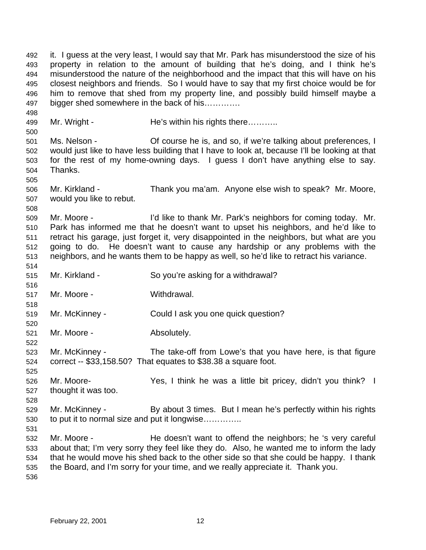it. I guess at the very least, I would say that Mr. Park has misunderstood the size of his property in relation to the amount of building that he's doing, and I think he's misunderstood the nature of the neighborhood and the impact that this will have on his closest neighbors and friends. So I would have to say that my first choice would be for him to remove that shed from my property line, and possibly build himself maybe a bigger shed somewhere in the back of his…………. 499 Mr. Wright - He's within his rights there………. Ms. Nelson - Of course he is, and so, if we're talking about preferences, I would just like to have less building that I have to look at, because I'll be looking at that for the rest of my home-owning days. I guess I don't have anything else to say. Thanks. Mr. Kirkland - Thank you ma'am. Anyone else wish to speak? Mr. Moore, would you like to rebut. Mr. Moore - I'd like to thank Mr. Park's neighbors for coming today. Mr. Park has informed me that he doesn't want to upset his neighbors, and he'd like to retract his garage, just forget it, very disappointed in the neighbors, but what are you going to do. He doesn't want to cause any hardship or any problems with the neighbors, and he wants them to be happy as well, so he'd like to retract his variance. Mr. Kirkland - So you're asking for a withdrawal? Mr. Moore - Withdrawal. Mr. McKinney - Could I ask you one quick question? Mr. Moore - Absolutely. Mr. McKinney - The take-off from Lowe's that you have here, is that figure correct -- \$33,158.50? That equates to \$38.38 a square foot. Mr. Moore- Yes, I think he was a little bit pricey, didn't you think? I thought it was too. 529 Mr. McKinney - By about 3 times. But I mean he's perfectly within his rights to put it to normal size and put it longwise………….. 532 Mr. Moore - He doesn't want to offend the neighbors; he 's very careful about that; I'm very sorry they feel like they do. Also, he wanted me to inform the lady that he would move his shed back to the other side so that she could be happy. I thank the Board, and I'm sorry for your time, and we really appreciate it. Thank you.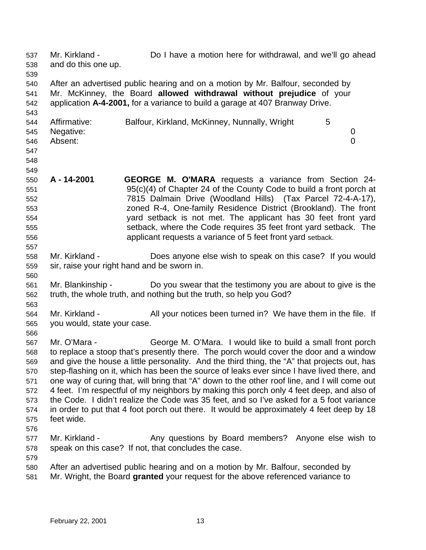Mr. Kirkland - Do I have a motion here for withdrawal, and we'll go ahead and do this one up. After an advertised public hearing and on a motion by Mr. Balfour, seconded by Mr. McKinney, the Board **allowed withdrawal without prejudice** of your application **A-4-2001,** for a variance to build a garage at 407 Branway Drive. 544 Affirmative: Balfour, Kirkland, McKinney, Nunnally, Wright 5 Negative: 0 Absent: 0 **A - 14-2001 GEORGE M. O'MARA** requests a variance from Section 24- 95(c)(4) of Chapter 24 of the County Code to build a front porch at 7815 Dalmain Drive (Woodland Hills) (Tax Parcel 72-4-A-17), zoned R-4, One-family Residence District (Brookland). The front yard setback is not met. The applicant has 30 feet front yard setback, where the Code requires 35 feet front yard setback. The applicant requests a variance of 5 feet front yard setback. Mr. Kirkland - Does anyone else wish to speak on this case? If you would sir, raise your right hand and be sworn in. Mr. Blankinship - Do you swear that the testimony you are about to give is the truth, the whole truth, and nothing but the truth, so help you God? Mr. Kirkland - All your notices been turned in? We have them in the file. If you would, state your case. Mr. O'Mara - George M. O'Mara. I would like to build a small front porch to replace a stoop that's presently there. The porch would cover the door and a window and give the house a little personality. And the third thing, the "A" that projects out, has step-flashing on it, which has been the source of leaks ever since I have lived there, and one way of curing that, will bring that "A" down to the other roof line, and I will come out 4 feet. I'm respectful of my neighbors by making this porch only 4 feet deep, and also of the Code. I didn't realize the Code was 35 feet, and so I've asked for a 5 foot variance in order to put that 4 foot porch out there. It would be approximately 4 feet deep by 18 feet wide. 577 Mr. Kirkland - Any questions by Board members? Anyone else wish to speak on this case? If not, that concludes the case. After an advertised public hearing and on a motion by Mr. Balfour, seconded by Mr. Wright, the Board **granted** your request for the above referenced variance to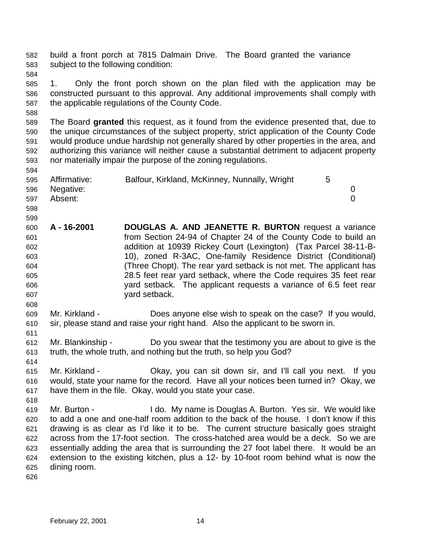build a front porch at 7815 Dalmain Drive. The Board granted the variance subject to the following condition: 1. Only the front porch shown on the plan filed with the application may be constructed pursuant to this approval. Any additional improvements shall comply with the applicable regulations of the County Code. The Board **granted** this request, as it found from the evidence presented that, due to the unique circumstances of the subject property, strict application of the County Code would produce undue hardship not generally shared by other properties in the area, and authorizing this variance will neither cause a substantial detriment to adjacent property nor materially impair the purpose of the zoning regulations. 595 Affirmative: Balfour, Kirkland, McKinney, Nunnally, Wright 5 Negative: 0 Absent: 0 **A - 16-2001 DOUGLAS A. AND JEANETTE R. BURTON** request a variance from Section 24-94 of Chapter 24 of the County Code to build an addition at 10939 Rickey Court (Lexington) (Tax Parcel 38-11-B- 10), zoned R-3AC, One-family Residence District (Conditional) (Three Chopt). The rear yard setback is not met. The applicant has 28.5 feet rear yard setback, where the Code requires 35 feet rear yard setback. The applicant requests a variance of 6.5 feet rear yard setback. Mr. Kirkland - Does anyone else wish to speak on the case? If you would, sir, please stand and raise your right hand. Also the applicant to be sworn in. Mr. Blankinship - Do you swear that the testimony you are about to give is the truth, the whole truth, and nothing but the truth, so help you God? Mr. Kirkland - Okay, you can sit down sir, and I'll call you next. If you would, state your name for the record. Have all your notices been turned in? Okay, we have them in the file. Okay, would you state your case. Mr. Burton - I do. My name is Douglas A. Burton. Yes sir. We would like to add a one and one-half room addition to the back of the house. I don't know if this drawing is as clear as I'd like it to be. The current structure basically goes straight across from the 17-foot section. The cross-hatched area would be a deck. So we are essentially adding the area that is surrounding the 27 foot label there. It would be an extension to the existing kitchen, plus a 12- by 10-foot room behind what is now the dining room.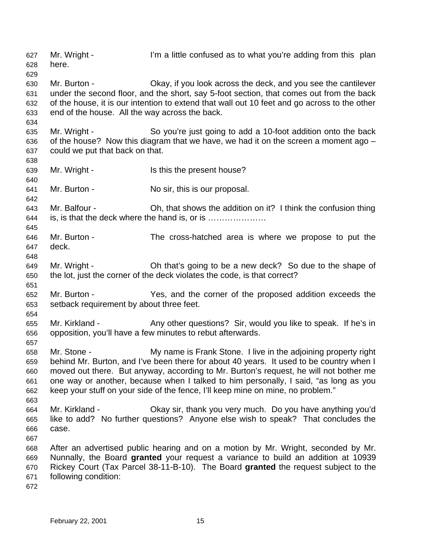Mr. Wright - I'm a little confused as to what you're adding from this plan here. Mr. Burton - Okay, if you look across the deck, and you see the cantilever under the second floor, and the short, say 5-foot section, that comes out from the back of the house, it is our intention to extend that wall out 10 feet and go across to the other end of the house. All the way across the back. Mr. Wright - So you're just going to add a 10-foot addition onto the back of the house? Now this diagram that we have, we had it on the screen a moment ago – could we put that back on that. 639 Mr. Wright - Is this the present house? Mr. Burton - No sir, this is our proposal. Mr. Balfour - Oh, that shows the addition on it? I think the confusion thing is, is that the deck where the hand is, or is ………………… Mr. Burton - The cross-hatched area is where we propose to put the deck. Mr. Wright - Oh that's going to be a new deck? So due to the shape of the lot, just the corner of the deck violates the code, is that correct? Mr. Burton - Yes, and the corner of the proposed addition exceeds the setback requirement by about three feet. Mr. Kirkland - Any other questions? Sir, would you like to speak. If he's in opposition, you'll have a few minutes to rebut afterwards. Mr. Stone - My name is Frank Stone. I live in the adjoining property right behind Mr. Burton, and I've been there for about 40 years. It used to be country when I moved out there. But anyway, according to Mr. Burton's request, he will not bother me one way or another, because when I talked to him personally, I said, "as long as you keep your stuff on your side of the fence, I'll keep mine on mine, no problem." Mr. Kirkland - Okay sir, thank you very much. Do you have anything you'd like to add? No further questions? Anyone else wish to speak? That concludes the case. After an advertised public hearing and on a motion by Mr. Wright, seconded by Mr. Nunnally, the Board **granted** your request a variance to build an addition at 10939 Rickey Court (Tax Parcel 38-11-B-10). The Board **granted** the request subject to the following condition: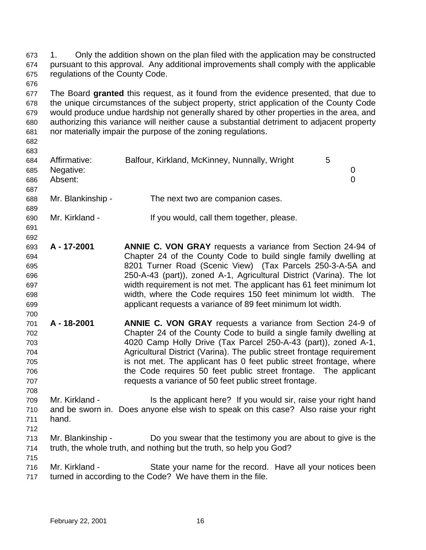1. Only the addition shown on the plan filed with the application may be constructed pursuant to this approval. Any additional improvements shall comply with the applicable regulations of the County Code.

 The Board **granted** this request, as it found from the evidence presented, that due to the unique circumstances of the subject property, strict application of the County Code would produce undue hardship not generally shared by other properties in the area, and authorizing this variance will neither cause a substantial detriment to adjacent property nor materially impair the purpose of the zoning regulations.

| 683 |                   |                                               |   |   |
|-----|-------------------|-----------------------------------------------|---|---|
| 684 | Affirmative:      | Balfour, Kirkland, McKinney, Nunnally, Wright | 5 |   |
| 685 | Negative:         |                                               |   |   |
| 686 | Absent:           |                                               |   | 0 |
| 687 |                   |                                               |   |   |
| 688 | Mr. Blankinship - | The next two are companion cases.             |   |   |
| 689 |                   |                                               |   |   |
| 690 | Mr. Kirkland -    | If you would, call them together, please.     |   |   |

- **A - 17-2001 ANNIE C. VON GRAY** requests a variance from Section 24-94 of Chapter 24 of the County Code to build single family dwelling at 8201 Turner Road (Scenic View) (Tax Parcels 250-3-A-5A and 250-A-43 (part)), zoned A-1, Agricultural District (Varina). The lot width requirement is not met. The applicant has 61 feet minimum lot width, where the Code requires 150 feet minimum lot width. The applicant requests a variance of 89 feet minimum lot width.
- **A - 18-2001 ANNIE C. VON GRAY** requests a variance from Section 24-9 of Chapter 24 of the County Code to build a single family dwelling at 4020 Camp Holly Drive (Tax Parcel 250-A-43 (part)), zoned A-1, Agricultural District (Varina). The public street frontage requirement is not met. The applicant has 0 feet public street frontage, where the Code requires 50 feet public street frontage. The applicant requests a variance of 50 feet public street frontage.
- Mr. Kirkland Is the applicant here? If you would sir, raise your right hand and be sworn in. Does anyone else wish to speak on this case? Also raise your right hand.
- 

- Mr. Blankinship Do you swear that the testimony you are about to give is the truth, the whole truth, and nothing but the truth, so help you God?
- Mr. Kirkland State your name for the record. Have all your notices been turned in according to the Code? We have them in the file.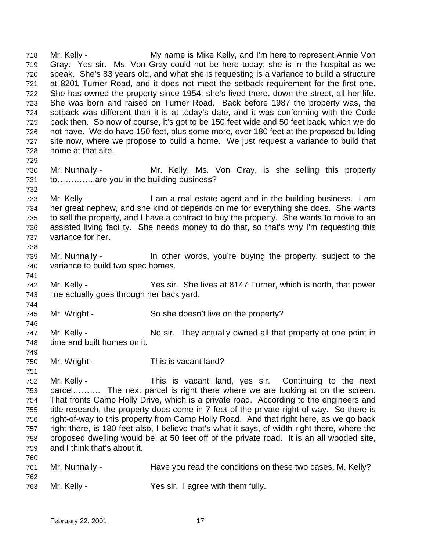Mr. Kelly - My name is Mike Kelly, and I'm here to represent Annie Von Gray. Yes sir. Ms. Von Gray could not be here today; she is in the hospital as we speak. She's 83 years old, and what she is requesting is a variance to build a structure at 8201 Turner Road, and it does not meet the setback requirement for the first one. She has owned the property since 1954; she's lived there, down the street, all her life. She was born and raised on Turner Road. Back before 1987 the property was, the setback was different than it is at today's date, and it was conforming with the Code back then. So now of course, it's got to be 150 feet wide and 50 feet back, which we do not have. We do have 150 feet, plus some more, over 180 feet at the proposed building site now, where we propose to build a home. We just request a variance to build that home at that site. Mr. Nunnally - Mr. Kelly, Ms. Von Gray, is she selling this property 731 to..............are you in the building business? Mr. Kelly - I am a real estate agent and in the building business. I am her great nephew, and she kind of depends on me for everything she does. She wants to sell the property, and I have a contract to buy the property. She wants to move to an assisted living facility. She needs money to do that, so that's why I'm requesting this variance for her. Mr. Nunnally - In other words, you're buying the property, subject to the variance to build two spec homes. Mr. Kelly - Yes sir. She lives at 8147 Turner, which is north, that power line actually goes through her back yard. Mr. Wright - So she doesn't live on the property? 747 Mr. Kelly - No sir. They actually owned all that property at one point in time and built homes on it. 750 Mr. Wright - This is vacant land? Mr. Kelly - This is vacant land, yes sir. Continuing to the next parcel………. The next parcel is right there where we are looking at on the screen. That fronts Camp Holly Drive, which is a private road. According to the engineers and title research, the property does come in 7 feet of the private right-of-way. So there is right-of-way to this property from Camp Holly Road. And that right here, as we go back right there, is 180 feet also, I believe that's what it says, of width right there, where the proposed dwelling would be, at 50 feet off of the private road. It is an all wooded site, and I think that's about it. Mr. Nunnally - Have you read the conditions on these two cases, M. Kelly? Mr. Kelly - Yes sir. I agree with them fully.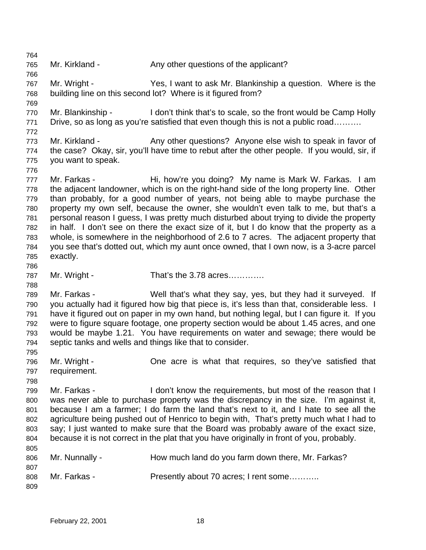Mr. Kirkland - Any other questions of the applicant? Mr. Wright - Yes, I want to ask Mr. Blankinship a question. Where is the building line on this second lot? Where is it figured from? Mr. Blankinship - I don't think that's to scale, so the front would be Camp Holly 771 Drive, so as long as you're satisfied that even though this is not a public road......... 773 Mr. Kirkland - Any other questions? Anyone else wish to speak in favor of the case? Okay, sir, you'll have time to rebut after the other people. If you would, sir, if you want to speak. 777 Mr. Farkas - Hi, how're you doing? My name is Mark W. Farkas. I am the adjacent landowner, which is on the right-hand side of the long property line. Other than probably, for a good number of years, not being able to maybe purchase the property my own self, because the owner, she wouldn't even talk to me, but that's a personal reason I guess, I was pretty much disturbed about trying to divide the property in half. I don't see on there the exact size of it, but I do know that the property as a whole, is somewhere in the neighborhood of 2.6 to 7 acres. The adjacent property that you see that's dotted out, which my aunt once owned, that I own now, is a 3-acre parcel exactly. 787 Mr. Wright - That's the 3.78 acres………… Mr. Farkas - Well that's what they say, yes, but they had it surveyed. If you actually had it figured how big that piece is, it's less than that, considerable less. I have it figured out on paper in my own hand, but nothing legal, but I can figure it. If you were to figure square footage, one property section would be about 1.45 acres, and one would be maybe 1.21. You have requirements on water and sewage; there would be septic tanks and wells and things like that to consider. Mr. Wright - One acre is what that requires, so they've satisfied that requirement. Mr. Farkas - I don't know the requirements, but most of the reason that I was never able to purchase property was the discrepancy in the size. I'm against it, because I am a farmer; I do farm the land that's next to it, and I hate to see all the agriculture being pushed out of Henrico to begin with, That's pretty much what I had to say; I just wanted to make sure that the Board was probably aware of the exact size, because it is not correct in the plat that you have originally in front of you, probably. 806 Mr. Nunnally - How much land do you farm down there, Mr. Farkas? 808 Mr. Farkas - Presently about 70 acres; I rent some...........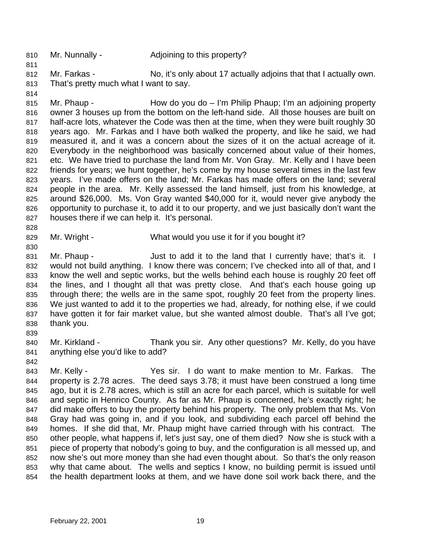- 810 Mr. Nunnally Adjoining to this property?
- Mr. Farkas No, it's only about 17 actually adjoins that that I actually own. That's pretty much what I want to say.
- 

815 Mr. Phaup - How do you do – I'm Philip Phaup; I'm an adjoining property owner 3 houses up from the bottom on the left-hand side. All those houses are built on half-acre lots, whatever the Code was then at the time, when they were built roughly 30 years ago. Mr. Farkas and I have both walked the property, and like he said, we had measured it, and it was a concern about the sizes of it on the actual acreage of it. Everybody in the neighborhood was basically concerned about value of their homes, 821 etc. We have tried to purchase the land from Mr. Von Gray. Mr. Kelly and I have been friends for years; we hunt together, he's come by my house several times in the last few years. I've made offers on the land; Mr. Farkas has made offers on the land; several people in the area. Mr. Kelly assessed the land himself, just from his knowledge, at around \$26,000. Ms. Von Gray wanted \$40,000 for it, would never give anybody the opportunity to purchase it, to add it to our property, and we just basically don't want the houses there if we can help it. It's personal.

829 Mr. Wright - What would you use it for if you bought it?

831 Mr. Phaup - Just to add it to the land that I currently have; that's it. I would not build anything. I know there was concern; I've checked into all of that, and I know the well and septic works, but the wells behind each house is roughly 20 feet off the lines, and I thought all that was pretty close. And that's each house going up through there; the wells are in the same spot, roughly 20 feet from the property lines. We just wanted to add it to the properties we had, already, for nothing else, if we could have gotten it for fair market value, but she wanted almost double. That's all I've got; thank you. 

- Mr. Kirkland Thank you sir. Any other questions? Mr. Kelly, do you have anything else you'd like to add?
- 

 Mr. Kelly - Yes sir. I do want to make mention to Mr. Farkas. The property is 2.78 acres. The deed says 3.78; it must have been construed a long time ago, but it is 2.78 acres, which is still an acre for each parcel, which is suitable for well and septic in Henrico County. As far as Mr. Phaup is concerned, he's exactly right; he did make offers to buy the property behind his property. The only problem that Ms. Von Gray had was going in, and if you look, and subdividing each parcel off behind the homes. If she did that, Mr. Phaup might have carried through with his contract. The other people, what happens if, let's just say, one of them died? Now she is stuck with a piece of property that nobody's going to buy, and the configuration is all messed up, and now she's out more money than she had even thought about. So that's the only reason why that came about. The wells and septics I know, no building permit is issued until the health department looks at them, and we have done soil work back there, and the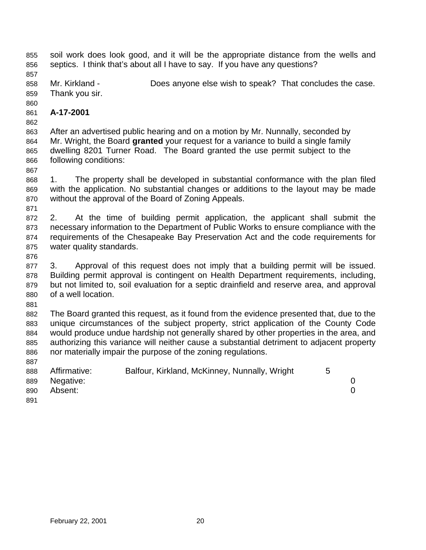soil work does look good, and it will be the appropriate distance from the wells and septics. I think that's about all I have to say. If you have any questions?

 Mr. Kirkland - Does anyone else wish to speak? That concludes the case. Thank you sir.

## **A-17-2001**

 After an advertised public hearing and on a motion by Mr. Nunnally, seconded by Mr. Wright, the Board **granted** your request for a variance to build a single family dwelling 8201 Turner Road. The Board granted the use permit subject to the following conditions:

 1. The property shall be developed in substantial conformance with the plan filed with the application. No substantial changes or additions to the layout may be made without the approval of the Board of Zoning Appeals.

 2. At the time of building permit application, the applicant shall submit the necessary information to the Department of Public Works to ensure compliance with the requirements of the Chesapeake Bay Preservation Act and the code requirements for water quality standards.

 3. Approval of this request does not imply that a building permit will be issued. Building permit approval is contingent on Health Department requirements, including, but not limited to, soil evaluation for a septic drainfield and reserve area, and approval of a well location.

 The Board granted this request, as it found from the evidence presented that, due to the unique circumstances of the subject property, strict application of the County Code would produce undue hardship not generally shared by other properties in the area, and authorizing this variance will neither cause a substantial detriment to adjacent property nor materially impair the purpose of the zoning regulations.

| 888 | Affirmative: | Balfour, Kirkland, McKinney, Nunnally, Wright | 5 |  |
|-----|--------------|-----------------------------------------------|---|--|
| 889 | Negative:    |                                               |   |  |
| 890 | Absent:      |                                               |   |  |
| 891 |              |                                               |   |  |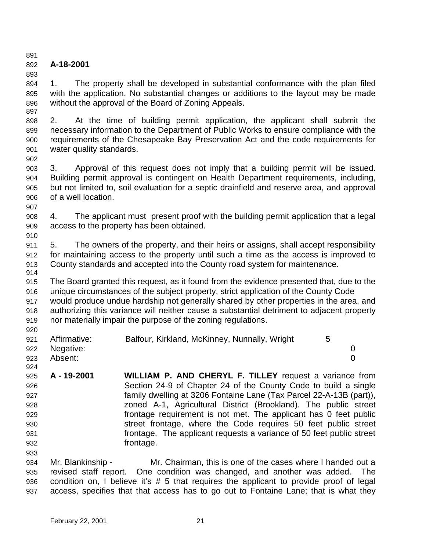## 

## **A-18-2001**

 1. The property shall be developed in substantial conformance with the plan filed with the application. No substantial changes or additions to the layout may be made without the approval of the Board of Zoning Appeals. 

 2. At the time of building permit application, the applicant shall submit the necessary information to the Department of Public Works to ensure compliance with the requirements of the Chesapeake Bay Preservation Act and the code requirements for water quality standards.

 3. Approval of this request does not imply that a building permit will be issued. Building permit approval is contingent on Health Department requirements, including, but not limited to, soil evaluation for a septic drainfield and reserve area, and approval of a well location.

 4. The applicant must present proof with the building permit application that a legal access to the property has been obtained.

 5. The owners of the property, and their heirs or assigns, shall accept responsibility for maintaining access to the property until such a time as the access is improved to County standards and accepted into the County road system for maintenance.

 The Board granted this request, as it found from the evidence presented that, due to the unique circumstances of the subject property, strict application of the County Code would produce undue hardship not generally shared by other properties in the area, and authorizing this variance will neither cause a substantial detriment to adjacent property

nor materially impair the purpose of the zoning regulations.

| 921 | Affirmative: | Balfour, Kirkland, McKinney, Nunnally, Wright |  |
|-----|--------------|-----------------------------------------------|--|
| 922 | Negative:    |                                               |  |
| 923 | Absent:      |                                               |  |
| 924 |              |                                               |  |

 **A - 19-2001 WILLIAM P. AND CHERYL F. TILLEY** request a variance from Section 24-9 of Chapter 24 of the County Code to build a single family dwelling at 3206 Fontaine Lane (Tax Parcel 22-A-13B (part)), zoned A-1, Agricultural District (Brookland). The public street frontage requirement is not met. The applicant has 0 feet public street frontage, where the Code requires 50 feet public street frontage. The applicant requests a variance of 50 feet public street **frontage.** 

 Mr. Blankinship - Mr. Chairman, this is one of the cases where I handed out a revised staff report. One condition was changed, and another was added. The condition on, I believe it's # 5 that requires the applicant to provide proof of legal access, specifies that that access has to go out to Fontaine Lane; that is what they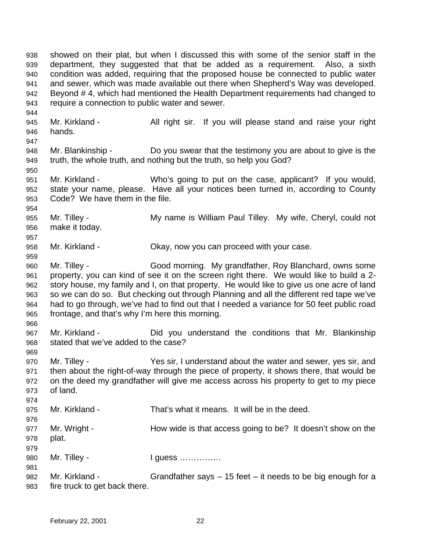showed on their plat, but when I discussed this with some of the senior staff in the department, they suggested that that be added as a requirement. Also, a sixth condition was added, requiring that the proposed house be connected to public water and sewer, which was made available out there when Shepherd's Way was developed. Beyond # 4, which had mentioned the Health Department requirements had changed to require a connection to public water and sewer. 945 Mr. Kirkland - All right sir. If you will please stand and raise your right hands. Mr. Blankinship - Do you swear that the testimony you are about to give is the truth, the whole truth, and nothing but the truth, so help you God? Mr. Kirkland - Who's going to put on the case, applicant? If you would, state your name, please. Have all your notices been turned in, according to County Code? We have them in the file. Mr. Tilley - My name is William Paul Tilley. My wife, Cheryl, could not make it today. Mr. Kirkland - Okay, now you can proceed with your case. Mr. Tilley - Good morning. My grandfather, Roy Blanchard, owns some property, you can kind of see it on the screen right there. We would like to build a 2- story house, my family and I, on that property. He would like to give us one acre of land so we can do so. But checking out through Planning and all the different red tape we've had to go through, we've had to find out that I needed a variance for 50 feet public road frontage, and that's why I'm here this morning. Mr. Kirkland - Did you understand the conditions that Mr. Blankinship stated that we've added to the case? Mr. Tilley - Yes sir, I understand about the water and sewer, yes sir, and then about the right-of-way through the piece of property, it shows there, that would be on the deed my grandfather will give me access across his property to get to my piece of land. Mr. Kirkland - That's what it means. It will be in the deed. Mr. Wright - How wide is that access going to be? It doesn't show on the plat. 980 Mr. Tilley - **I guess ……………**  Mr. Kirkland - Grandfather says – 15 feet – it needs to be big enough for a fire truck to get back there.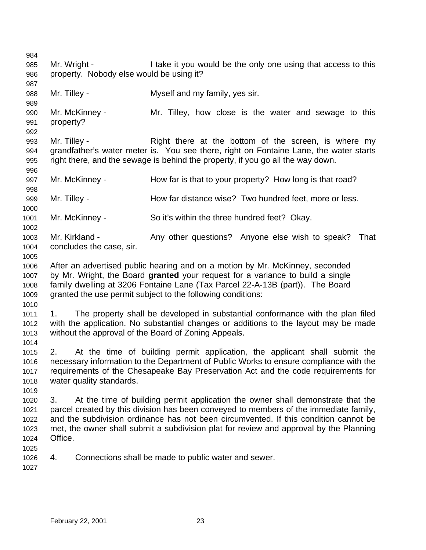Mr. Wright - I take it you would be the only one using that access to this property. Nobody else would be using it? Mr. Tilley - Myself and my family, yes sir. Mr. McKinney - Mr. Tilley, how close is the water and sewage to this property? Mr. Tilley - Right there at the bottom of the screen, is where my grandfather's water meter is. You see there, right on Fontaine Lane, the water starts right there, and the sewage is behind the property, if you go all the way down. 997 Mr. McKinney - How far is that to your property? How long is that road? 999 Mr. Tilley - **How far distance wise?** Two hundred feet, more or less. Mr. McKinney - So it's within the three hundred feet? Okay. 1003 Mr. Kirkland - Any other questions? Anyone else wish to speak? That concludes the case, sir. After an advertised public hearing and on a motion by Mr. McKinney, seconded by Mr. Wright, the Board **granted** your request for a variance to build a single family dwelling at 3206 Fontaine Lane (Tax Parcel 22-A-13B (part)). The Board granted the use permit subject to the following conditions: 1. The property shall be developed in substantial conformance with the plan filed with the application. No substantial changes or additions to the layout may be made without the approval of the Board of Zoning Appeals. 2. At the time of building permit application, the applicant shall submit the necessary information to the Department of Public Works to ensure compliance with the requirements of the Chesapeake Bay Preservation Act and the code requirements for water quality standards. 3. At the time of building permit application the owner shall demonstrate that the parcel created by this division has been conveyed to members of the immediate family, and the subdivision ordinance has not been circumvented. If this condition cannot be met, the owner shall submit a subdivision plat for review and approval by the Planning Office. 4. Connections shall be made to public water and sewer.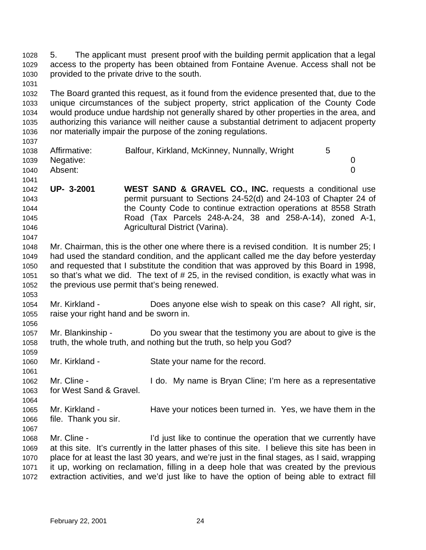5. The applicant must present proof with the building permit application that a legal access to the property has been obtained from Fontaine Avenue. Access shall not be provided to the private drive to the south.

 The Board granted this request, as it found from the evidence presented that, due to the unique circumstances of the subject property, strict application of the County Code would produce undue hardship not generally shared by other properties in the area, and authorizing this variance will neither cause a substantial detriment to adjacent property nor materially impair the purpose of the zoning regulations.

| .    |                |                                               |  |
|------|----------------|-----------------------------------------------|--|
| 1038 | Affirmative:   | Balfour, Kirkland, McKinney, Nunnally, Wright |  |
|      | 1039 Negative: |                                               |  |
| 1040 | Absent:        |                                               |  |
| 1041 |                |                                               |  |

 **UP- 3-2001 WEST SAND & GRAVEL CO., INC.** requests a conditional use permit pursuant to Sections 24-52(d) and 24-103 of Chapter 24 of the County Code to continue extraction operations at 8558 Strath Road (Tax Parcels 248-A-24, 38 and 258-A-14), zoned A-1, Agricultural District (Varina).

 Mr. Chairman, this is the other one where there is a revised condition. It is number 25; I had used the standard condition, and the applicant called me the day before yesterday and requested that I substitute the condition that was approved by this Board in 1998, so that's what we did. The text of # 25, in the revised condition, is exactly what was in the previous use permit that's being renewed.

- Mr. Kirkland Does anyone else wish to speak on this case? All right, sir, raise your right hand and be sworn in.
- Mr. Blankinship - Do you swear that the testimony you are about to give is the truth, the whole truth, and nothing but the truth, so help you God?
- Mr. Kirkland State your name for the record.
- Mr. Cline - I do. My name is Bryan Cline; I'm here as a representative for West Sand & Gravel.
- Mr. Kirkland Have your notices been turned in. Yes, we have them in the file. Thank you sir.
- 

 Mr. Cline - I'd just like to continue the operation that we currently have at this site. It's currently in the latter phases of this site. I believe this site has been in place for at least the last 30 years, and we're just in the final stages, as I said, wrapping it up, working on reclamation, filling in a deep hole that was created by the previous extraction activities, and we'd just like to have the option of being able to extract fill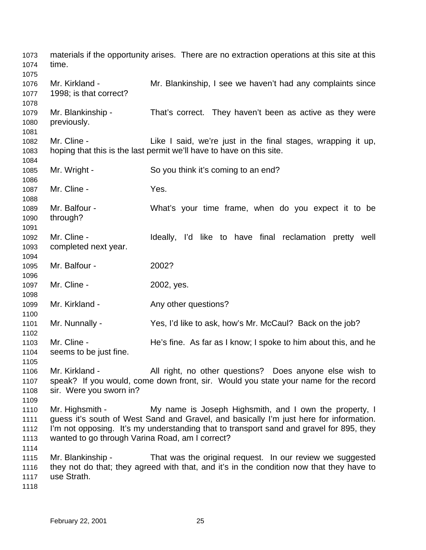materials if the opportunity arises. There are no extraction operations at this site at this time. Mr. Kirkland - Mr. Blankinship, I see we haven't had any complaints since 1998; is that correct? Mr. Blankinship - That's correct. They haven't been as active as they were previously. Mr. Cline - Like I said, we're just in the final stages, wrapping it up, hoping that this is the last permit we'll have to have on this site. Mr. Wright - So you think it's coming to an end? Mr. Cline - Yes. Mr. Balfour - What's your time frame, when do you expect it to be through? 1092 Mr. Cline - The Muldeally, I'd like to have final reclamation pretty well completed next year. Mr. Balfour - 2002? Mr. Cline - 2002, yes. 1099 Mr. Kirkland - Any other questions? Mr. Nunnally - Yes, I'd like to ask, how's Mr. McCaul? Back on the job? Mr. Cline - He's fine. As far as I know; I spoke to him about this, and he seems to be just fine. Mr. Kirkland - All right, no other questions? Does anyone else wish to speak? If you would, come down front, sir. Would you state your name for the record sir. Were you sworn in? Mr. Highsmith - My name is Joseph Highsmith, and I own the property, I guess it's south of West Sand and Gravel, and basically I'm just here for information. I'm not opposing. It's my understanding that to transport sand and gravel for 895, they wanted to go through Varina Road, am I correct? Mr. Blankinship - That was the original request. In our review we suggested they not do that; they agreed with that, and it's in the condition now that they have to use Strath.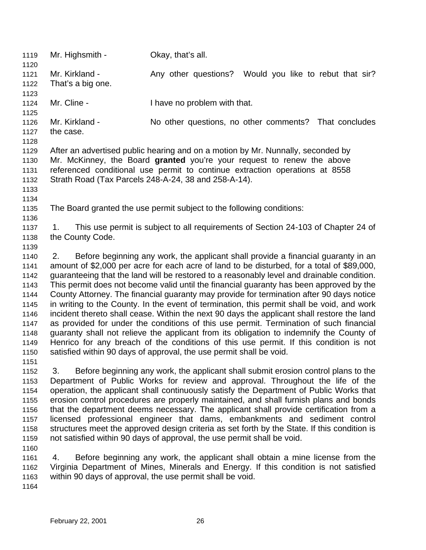| 1119<br>1120 | Mr. Highsmith -                                                             | Okay, that's all.                                                                            |  |
|--------------|-----------------------------------------------------------------------------|----------------------------------------------------------------------------------------------|--|
| 1121         | Mr. Kirkland -                                                              | Any other questions?<br>Would you like to rebut that sir?                                    |  |
| 1122         | That's a big one.                                                           |                                                                                              |  |
| 1123         |                                                                             |                                                                                              |  |
| 1124         | Mr. Cline -                                                                 | I have no problem with that.                                                                 |  |
| 1125         |                                                                             |                                                                                              |  |
| 1126         | Mr. Kirkland -                                                              | No other questions, no other comments? That concludes                                        |  |
| 1127         | the case.                                                                   |                                                                                              |  |
| 1128         |                                                                             |                                                                                              |  |
| 1129         |                                                                             | After an advertised public hearing and on a motion by Mr. Nunnally, seconded by              |  |
| 1130         |                                                                             | Mr. McKinney, the Board granted you're your request to renew the above                       |  |
| 1131         | referenced conditional use permit to continue extraction operations at 8558 |                                                                                              |  |
| 1132         |                                                                             | Strath Road (Tax Parcels 248-A-24, 38 and 258-A-14).                                         |  |
| 1133         |                                                                             |                                                                                              |  |
| 1134         |                                                                             |                                                                                              |  |
| 1135         |                                                                             | The Board granted the use permit subject to the following conditions:                        |  |
| 1136         |                                                                             |                                                                                              |  |
| 1137         | 1.                                                                          | This use permit is subject to all requirements of Section 24-103 of Chapter 24 of            |  |
| 1138         | the County Code.                                                            |                                                                                              |  |
| 1139         |                                                                             |                                                                                              |  |
| 1140         | 2.                                                                          | Before beginning any work, the applicant shall provide a financial guaranty in an            |  |
| 1141         |                                                                             | amount of \$2,000 per acre for each acre of land to be disturbed, for a total of \$89,000,   |  |
| 1142         |                                                                             | guaranteeing that the land will be restored to a reasonably level and drainable condition.   |  |
| 1143         |                                                                             | This permit does not become valid until the financial guaranty has been approved by the      |  |
| 1144         |                                                                             | County Attorney. The financial guaranty may provide for termination after 90 days notice     |  |
| 1145         |                                                                             | in writing to the County. In the event of termination, this permit shall be void, and work   |  |
| 1146         |                                                                             | incident thereto shall cease. Within the next 90 days the applicant shall restore the land   |  |
| 1147         |                                                                             | as provided for under the conditions of this use permit. Termination of such financial       |  |
| 1148         |                                                                             | guaranty shall not relieve the applicant from its obligation to indemnify the County of      |  |
| 1149         |                                                                             | Henrico for any breach of the conditions of this use permit. If this condition is not        |  |
| 1150         |                                                                             | satisfied within 90 days of approval, the use permit shall be void.                          |  |
| 1151         |                                                                             |                                                                                              |  |
| 1152         | 3.                                                                          | Before beginning any work, the applicant shall submit erosion control plans to the           |  |
| 1153         |                                                                             | Department of Public Works for review and approval. Throughout the life of the               |  |
| 1154         |                                                                             | operation, the applicant shall continuously satisfy the Department of Public Works that      |  |
| 1155         |                                                                             | erosion control procedures are properly maintained, and shall furnish plans and bonds        |  |
| 1156         |                                                                             | that the department deems necessary. The applicant shall provide certification from a        |  |
| 1157         |                                                                             | licensed professional engineer that dams, embankments and sediment control                   |  |
| 1158         |                                                                             | structures meet the approved design criteria as set forth by the State. If this condition is |  |
| 1159         |                                                                             | not satisfied within 90 days of approval, the use permit shall be void.                      |  |
| 1160         |                                                                             |                                                                                              |  |
| 1161         | 4.                                                                          | Before beginning any work, the applicant shall obtain a mine license from the                |  |
| 1162         |                                                                             | Virginia Department of Mines, Minerals and Energy. If this condition is not satisfied        |  |
| 1163         |                                                                             | within 90 days of approval, the use permit shall be void.                                    |  |
| 1164         |                                                                             |                                                                                              |  |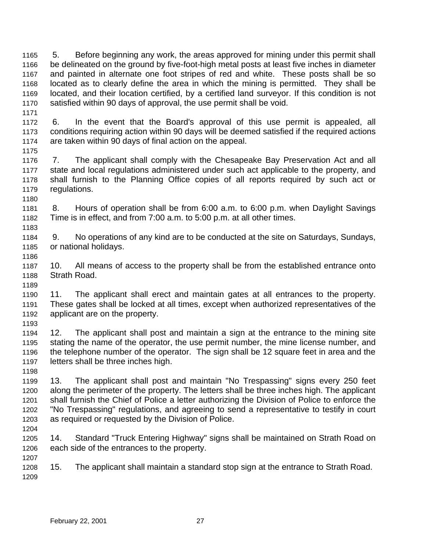5. Before beginning any work, the areas approved for mining under this permit shall be delineated on the ground by five-foot-high metal posts at least five inches in diameter and painted in alternate one foot stripes of red and white. These posts shall be so located as to clearly define the area in which the mining is permitted. They shall be located, and their location certified, by a certified land surveyor. If this condition is not satisfied within 90 days of approval, the use permit shall be void.

 6. In the event that the Board's approval of this use permit is appealed, all conditions requiring action within 90 days will be deemed satisfied if the required actions are taken within 90 days of final action on the appeal.

 7. The applicant shall comply with the Chesapeake Bay Preservation Act and all state and local regulations administered under such act applicable to the property, and shall furnish to the Planning Office copies of all reports required by such act or regulations. 

 8. Hours of operation shall be from 6:00 a.m. to 6:00 p.m. when Daylight Savings Time is in effect, and from 7:00 a.m. to 5:00 p.m. at all other times.

 9. No operations of any kind are to be conducted at the site on Saturdays, Sundays, or national holidays. 

 10. All means of access to the property shall be from the established entrance onto Strath Road.

 11. The applicant shall erect and maintain gates at all entrances to the property. These gates shall be locked at all times, except when authorized representatives of the applicant are on the property.

 12. The applicant shall post and maintain a sign at the entrance to the mining site stating the name of the operator, the use permit number, the mine license number, and the telephone number of the operator. The sign shall be 12 square feet in area and the letters shall be three inches high.

 13. The applicant shall post and maintain "No Trespassing" signs every 250 feet along the perimeter of the property. The letters shall be three inches high. The applicant shall furnish the Chief of Police a letter authorizing the Division of Police to enforce the "No Trespassing" regulations, and agreeing to send a representative to testify in court as required or requested by the Division of Police.

 14. Standard "Truck Entering Highway" signs shall be maintained on Strath Road on each side of the entrances to the property. 

 15. The applicant shall maintain a standard stop sign at the entrance to Strath Road.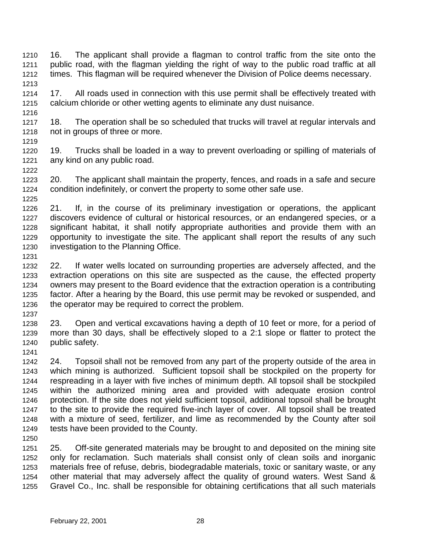16. The applicant shall provide a flagman to control traffic from the site onto the public road, with the flagman yielding the right of way to the public road traffic at all times. This flagman will be required whenever the Division of Police deems necessary. 

- 17. All roads used in connection with this use permit shall be effectively treated with calcium chloride or other wetting agents to eliminate any dust nuisance.
- 18. The operation shall be so scheduled that trucks will travel at regular intervals and not in groups of three or more.
- 19. Trucks shall be loaded in a way to prevent overloading or spilling of materials of any kind on any public road.
- 20. The applicant shall maintain the property, fences, and roads in a safe and secure condition indefinitely, or convert the property to some other safe use.
- 21. If, in the course of its preliminary investigation or operations, the applicant discovers evidence of cultural or historical resources, or an endangered species, or a significant habitat, it shall notify appropriate authorities and provide them with an opportunity to investigate the site. The applicant shall report the results of any such investigation to the Planning Office.
- 

- 22. If water wells located on surrounding properties are adversely affected, and the extraction operations on this site are suspected as the cause, the effected property owners may present to the Board evidence that the extraction operation is a contributing factor. After a hearing by the Board, this use permit may be revoked or suspended, and the operator may be required to correct the problem.
- 23. Open and vertical excavations having a depth of 10 feet or more, for a period of more than 30 days, shall be effectively sloped to a 2:1 slope or flatter to protect the public safety.
- 24. Topsoil shall not be removed from any part of the property outside of the area in which mining is authorized. Sufficient topsoil shall be stockpiled on the property for respreading in a layer with five inches of minimum depth. All topsoil shall be stockpiled within the authorized mining area and provided with adequate erosion control protection. If the site does not yield sufficient topsoil, additional topsoil shall be brought to the site to provide the required five-inch layer of cover. All topsoil shall be treated with a mixture of seed, fertilizer, and lime as recommended by the County after soil tests have been provided to the County.
- 25. Off-site generated materials may be brought to and deposited on the mining site only for reclamation. Such materials shall consist only of clean soils and inorganic materials free of refuse, debris, biodegradable materials, toxic or sanitary waste, or any other material that may adversely affect the quality of ground waters. West Sand & Gravel Co., Inc. shall be responsible for obtaining certifications that all such materials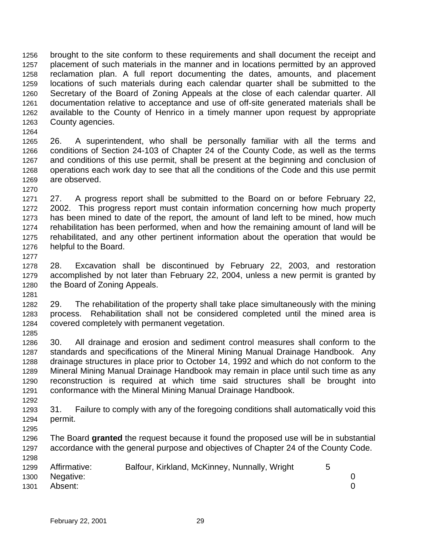brought to the site conform to these requirements and shall document the receipt and placement of such materials in the manner and in locations permitted by an approved reclamation plan. A full report documenting the dates, amounts, and placement locations of such materials during each calendar quarter shall be submitted to the Secretary of the Board of Zoning Appeals at the close of each calendar quarter. All documentation relative to acceptance and use of off-site generated materials shall be available to the County of Henrico in a timely manner upon request by appropriate County agencies.

 26. A superintendent, who shall be personally familiar with all the terms and conditions of Section 24-103 of Chapter 24 of the County Code, as well as the terms and conditions of this use permit, shall be present at the beginning and conclusion of operations each work day to see that all the conditions of the Code and this use permit are observed.

 27. A progress report shall be submitted to the Board on or before February 22, 2002. This progress report must contain information concerning how much property has been mined to date of the report, the amount of land left to be mined, how much rehabilitation has been performed, when and how the remaining amount of land will be rehabilitated, and any other pertinent information about the operation that would be helpful to the Board.

 28. Excavation shall be discontinued by February 22, 2003, and restoration accomplished by not later than February 22, 2004, unless a new permit is granted by the Board of Zoning Appeals. 

 29. The rehabilitation of the property shall take place simultaneously with the mining process. Rehabilitation shall not be considered completed until the mined area is covered completely with permanent vegetation. 

 30. All drainage and erosion and sediment control measures shall conform to the standards and specifications of the Mineral Mining Manual Drainage Handbook. Any drainage structures in place prior to October 14, 1992 and which do not conform to the Mineral Mining Manual Drainage Handbook may remain in place until such time as any reconstruction is required at which time said structures shall be brought into conformance with the Mineral Mining Manual Drainage Handbook.

 31. Failure to comply with any of the foregoing conditions shall automatically void this permit. 

 The Board **granted** the request because it found the proposed use will be in substantial accordance with the general purpose and objectives of Chapter 24 of the County Code.

| 1299 | Affirmative:   | Balfour, Kirkland, McKinney, Nunnally, Wright |  |
|------|----------------|-----------------------------------------------|--|
|      | 1300 Negative: |                                               |  |
| 1301 | Absent:        |                                               |  |